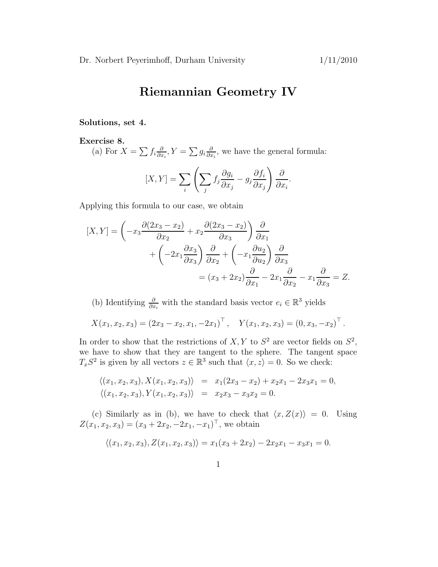## Riemannian Geometry IV

## Solutions, set 4.

## Exercise 8.

(a) For  $X = \sum f_i \frac{\partial}{\partial x_i}$  $\frac{\partial}{\partial x_i}, Y = \sum g_i \frac{\partial}{\partial x_i}$  $\frac{\partial}{\partial x_i}$ , we have the general formula:

$$
[X,Y] = \sum_{i} \left( \sum_{j} f_j \frac{\partial g_i}{\partial x_j} - g_j \frac{\partial f_i}{\partial x_j} \right) \frac{\partial}{\partial x_i}.
$$

Applying this formula to our case, we obtain

$$
[X,Y] = \left(-x_3 \frac{\partial(2x_3 - x_2)}{\partial x_2} + x_2 \frac{\partial(2x_3 - x_2)}{\partial x_3}\right) \frac{\partial}{\partial x_1} + \left(-2x_1 \frac{\partial x_3}{\partial x_3}\right) \frac{\partial}{\partial x_2} + \left(-x_1 \frac{\partial u_2}{\partial u_2}\right) \frac{\partial}{\partial x_3} = (x_3 + 2x_2) \frac{\partial}{\partial x_1} - 2x_1 \frac{\partial}{\partial x_2} - x_1 \frac{\partial}{\partial x_3} = Z.
$$

(b) Identifying  $\frac{\partial}{\partial x_i}$  with the standard basis vector  $e_i \in \mathbb{R}^3$  yields

$$
X(x_1, x_2, x_3) = (2x_3 - x_2, x_1, -2x_1)^\top
$$
,  $Y(x_1, x_2, x_3) = (0, x_3, -x_2)^\top$ .

In order to show that the restrictions of  $X, Y$  to  $S^2$  are vector fields on  $S^2$ , we have to show that they are tangent to the sphere. The tangent space  $T_xS^2$  is given by all vectors  $z \in \mathbb{R}^3$  such that  $\langle x, z \rangle = 0$ . So we check:

$$
\langle (x_1, x_2, x_3), X(x_1, x_2, x_3) \rangle = x_1(2x_3 - x_2) + x_2x_1 - 2x_3x_1 = 0, \langle (x_1, x_2, x_3), Y(x_1, x_2, x_3) \rangle = x_2x_3 - x_3x_2 = 0.
$$

(c) Similarly as in (b), we have to check that  $\langle x, Z(x) \rangle = 0$ . Using  $Z(x_1, x_2, x_3) = (x_3 + 2x_2, -2x_1, -x_1)^\top$ , we obtain

$$
\langle (x_1, x_2, x_3), Z(x_1, x_2, x_3) \rangle = x_1(x_3 + 2x_2) - 2x_2x_1 - x_3x_1 = 0.
$$